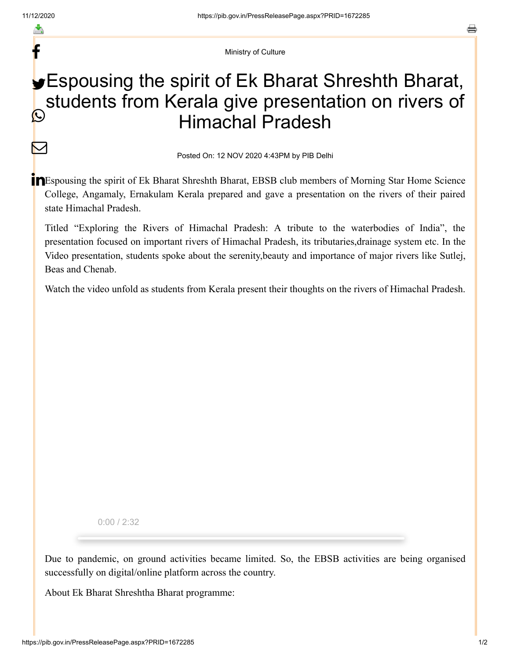f

 $\bm{\nabla}$ 

Ministry of Culture

## **Espousing the spirit of Ek Bharat Shreshth Bharat,** students from Kerala give presentation on rivers of Himachal Pradesh  $\mathbb{C}$

Posted On: 12 NOV 2020 4:43PM by PIB Delhi

**IN** Espousing the spirit of Ek Bharat Shreshth Bharat, EBSB club members of Morning Star Home Science College, Angamaly, Ernakulam Kerala prepared and gave a presentation on the rivers of their paired state Himachal Pradesh.

Titled "Exploring the Rivers of Himachal Pradesh: A tribute to the waterbodies of India", the presentation focused on important rivers of Himachal Pradesh, its tributaries,drainage system etc. In the Video presentation, students spoke about the serenity,beauty and importance of major rivers like Sutlej, Beas and Chenab.

Watch the video unfold as students from Kerala present their thoughts on the rivers of Himachal Pradesh.

0:00 / 2:32

Due to pandemic, on ground activities became limited. So, the EBSB activities are being organised successfully on digital/online platform across the country.

About Ek Bharat Shreshtha Bharat programme: